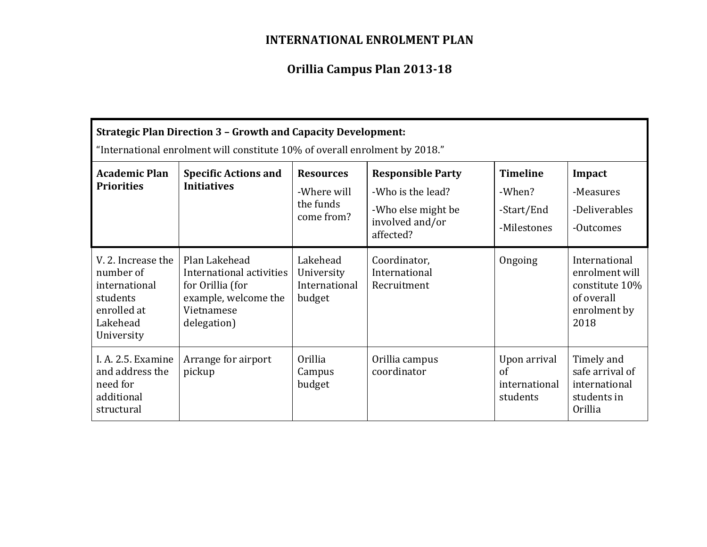## **INTERNATIONAL ENROLMENT PLAN**

# **Orillia Campus Plan 2013-18**

| <b>Strategic Plan Direction 3 - Growth and Capacity Development:</b><br>"International enrolment will constitute 10% of overall enrolment by 2018." |                                                                                                                    |                                                            |                                                                                                     |                                                         |                                                                                         |  |  |  |
|-----------------------------------------------------------------------------------------------------------------------------------------------------|--------------------------------------------------------------------------------------------------------------------|------------------------------------------------------------|-----------------------------------------------------------------------------------------------------|---------------------------------------------------------|-----------------------------------------------------------------------------------------|--|--|--|
| <b>Academic Plan</b><br><b>Priorities</b>                                                                                                           | <b>Specific Actions and</b><br><b>Initiatives</b>                                                                  | <b>Resources</b><br>-Where will<br>the funds<br>come from? | <b>Responsible Party</b><br>-Who is the lead?<br>-Who else might be<br>involved and/or<br>affected? | <b>Timeline</b><br>-When?<br>-Start/End<br>-Milestones  | Impact<br>-Measures<br>-Deliverables<br>-Outcomes                                       |  |  |  |
| V. 2. Increase the<br>number of<br>international<br>students<br>enrolled at<br>Lakehead<br>University                                               | Plan Lakehead<br>International activities<br>for Orillia (for<br>example, welcome the<br>Vietnamese<br>delegation) | Lakehead<br>University<br>International<br>budget          | Coordinator,<br>International<br>Recruitment                                                        | Ongoing                                                 | International<br>enrolment will<br>constitute 10%<br>of overall<br>enrolment by<br>2018 |  |  |  |
| I. A. 2.5. Examine<br>and address the<br>need for<br>additional<br>structural                                                                       | Arrange for airport<br>pickup                                                                                      | <b>Orillia</b><br>Campus<br>budget                         | Orillia campus<br>coordinator                                                                       | Upon arrival<br>$\sigma$ f<br>international<br>students | Timely and<br>safe arrival of<br>international<br>students in<br><b>Orillia</b>         |  |  |  |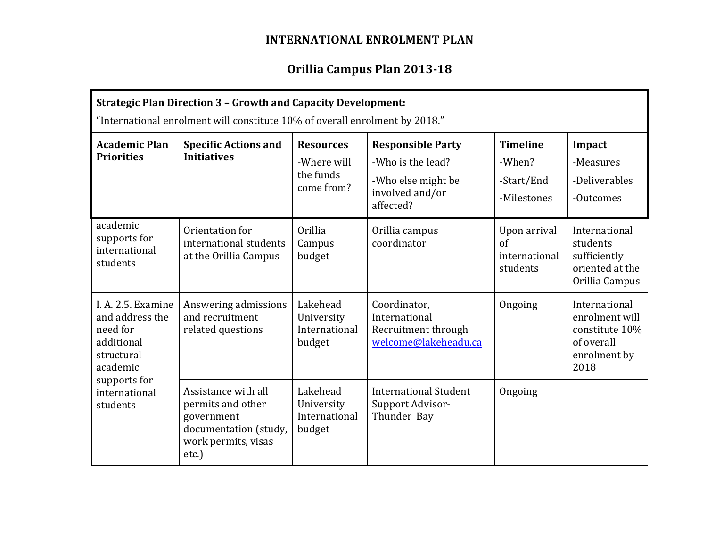## **INTERNATIONAL ENROLMENT PLAN**

## **Orillia Campus Plan 2013-18**

| <b>Strategic Plan Direction 3 - Growth and Capacity Development:</b><br>"International enrolment will constitute 10% of overall enrolment by 2018." |                                                                                                                    |                                                            |                                                                                                     |                                                         |                                                                                         |  |  |  |
|-----------------------------------------------------------------------------------------------------------------------------------------------------|--------------------------------------------------------------------------------------------------------------------|------------------------------------------------------------|-----------------------------------------------------------------------------------------------------|---------------------------------------------------------|-----------------------------------------------------------------------------------------|--|--|--|
| <b>Academic Plan</b><br><b>Priorities</b>                                                                                                           | <b>Specific Actions and</b><br><b>Initiatives</b>                                                                  | <b>Resources</b><br>-Where will<br>the funds<br>come from? | <b>Responsible Party</b><br>-Who is the lead?<br>-Who else might be<br>involved and/or<br>affected? | <b>Timeline</b><br>-When?<br>-Start/End<br>-Milestones  | Impact<br>-Measures<br>-Deliverables<br>-Outcomes                                       |  |  |  |
| academic<br>supports for<br>international<br>students                                                                                               | Orientation for<br>international students<br>at the Orillia Campus                                                 | <b>Orillia</b><br>Campus<br>budget                         | Orillia campus<br>coordinator                                                                       | Upon arrival<br>$\sigma$ f<br>international<br>students | International<br>students<br>sufficiently<br>oriented at the<br>Orillia Campus          |  |  |  |
| I. A. 2.5. Examine<br>and address the<br>need for<br>additional<br>structural<br>academic<br>supports for<br>international<br>students              | Answering admissions<br>and recruitment<br>related questions                                                       | Lakehead<br>University<br>International<br>budget          | Coordinator,<br>International<br>Recruitment through<br>welcome@lakeheadu.ca                        | Ongoing                                                 | International<br>enrolment will<br>constitute 10%<br>of overall<br>enrolment by<br>2018 |  |  |  |
|                                                                                                                                                     | Assistance with all<br>permits and other<br>government<br>documentation (study,<br>work permits, visas<br>$etc.$ ) | Lakehead<br>University<br>International<br>budget          | <b>International Student</b><br>Support Advisor-<br>Thunder Bay                                     | Ongoing                                                 |                                                                                         |  |  |  |